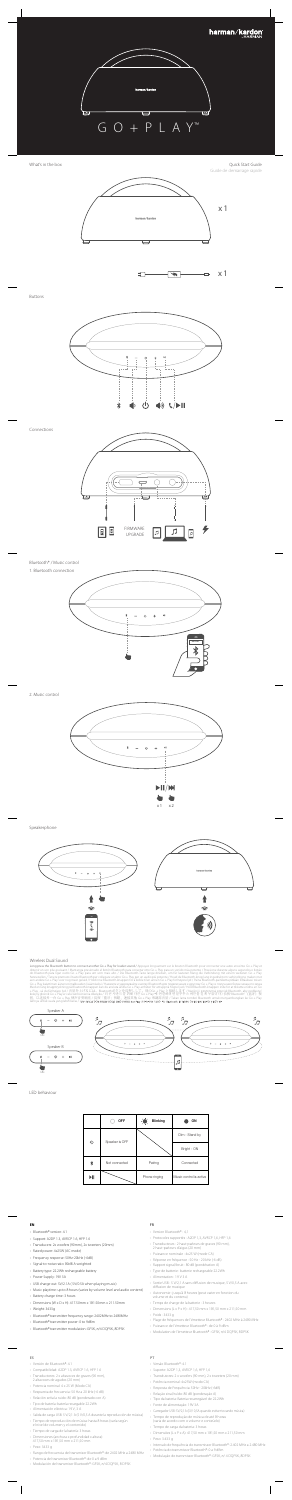### **EN FR**



x 1 ⊐ ጉ  $\blacktriangleright$ 

Buttons



Bluetooth® / Music control

1. Bluetooth connection



LED behaviour

Speakerphone







### Wireless Dual Sound

Long press the Bluetooth button to connect another Go + Play for louder sound / Appuyez longuement sur le bouton Bluetooth pour connecter une autre enceinte Go + Play tells<br>obtenir un son plus puissant / Mantenga presio



- Bluetooth® version: 4.1
- Support: A2DP 1.3, AVRCP 1.6, HFP 1.6
- Transducers: 2x woofers (90mm), 2x tweeters (20mm)
- Rated power: 4x25W (AC mode)
- Frequency response: 50Hz-20kHz (-6dB)
- Signal-to-noise ratio: 80dB A-weighted
- Battery type: 22.2Wh rechargeable battery
- Power Supply: 19V 3A
- USB charge out: 5V/2.1A ( 5V/0.5A when playing music)
- Music playtime: up to 8 hours (varies by volume level and audio content)
- Battery charge time: 3 hours
- Dimensions (W x D x H): 417.50mm x 181.50mm x 211.50mm
- Weight: 3433g
- Bluetooth® transmitter frequency range: 2402MHz to 2480MHz
- Bluetooth® transmitter power: 0 to 9dBm
- Bluetooth® transmitter modulation: GFSK, π/4 DQPSK, 8DPSK

- Version Bluetooth® : 4,1
- Protocoles supportés : A2DP 1,3, AVRCP 1,6, HFP 1,6
- Transducteurs : 2 haut-parleurs de graves (90 mm),
- 2 haut-parleurs d'aigus (20 mm) • Puissance nominale : 4x25 W (mode CA)
- Réponse en fréquence : 50 Hz 20 kHz (-6 dB)
- 
- Rapport signal/bruit : 80 dB (pondération A) • Type de batterie : batterie rechargeable 22.2Wh
- Alimentation : 19 V 3 A
- Sortie USB : 5 V/2,1 A sans diffusion de musique, 5 V/0,5 A avec diffusion de musique
- Autonomie : jusqu'à 8 heures (peut varier en fonction du volume et du contenu)
- Temps de charge de la batterie : 3 heures
- Dimensions (L x P x H) : 417,50 mm x 181,50 mm x 211,50 mm • Poids : 3433 g
- Plage de fréquences de l'émetteur Bluetooth® : 2402 MHz à 2480 MHz
- Puissance de l'émetteur Bluetooth® : de 0 à 9 dBm
- Modulation de l'émetteur Bluetooth® : GFSK, π/4 DQPSK, 8DPSK

# **ES** PT





2. Music control



- Versión de Bluetooth®: 4.1
- Compatibilidad: A2DP 1.3, AVRCP 1.6, HFP 1.6
- Transductores: 2 x altavoces de graves (90 mm), 2 altavoces de agudos (20 mm)
- Potencia nominal: 4 x 25 W (Modo CA)
- Respuesta de frecuencia: 50 Hz a 20 kHz (-6 dB)
- Relación señal a ruido: 80 dB (ponderado con A)
- Tipo de batería: batería recargable 22.2Wh
- Alimentación eléctrica: 19 V, 3 A
- Salida de carga USB: 5 V/2,1 A (5 V/0,5 A durante la reproducción de música)
- Tiempo de reproducción de música: hasta 8 horas (varía según el nivel de volumen y el contenido)
- 
- Tiempo de carga de la batería: 3 horas
- Dimensiones (anchura x profundidad x altura): 417,50 mm x 181,50 mm x 211,50 mm
- Peso: 3433 g
- Rango de frecuencia del transmisor Bluetooth®: de 2402 MHz a 2480 MHz
- Potencia del transmisor Bluetooth®: de 0 a 9 dBm
- Modulación del transmisor Bluetooth®: GFSK, π/4 DQPSK, 8 DPSK

- Versão Bluetooth®: 4.1
- Suporte: A2DP 1,3, AVRCP 1,6, HFP 1,6
- Transdutores: 2 x woofers (90 mm), 2 x tweeters (20 mm)
- Potência nominal: 4x25W (modo CA)
- Resposta de Frequência: 50Hz 20kHz (-6dB)
- Relação sinal/ruído: 80 dB (ponderação A)
- Tipo da bateria: Bateria recarregável de 22.2Wh
- Fonte de alimentação: 19V 3A
- Carregador USB: 5V/2,1A (5V/ 0,5A quando estiver tocando música)
- Tempo de reprodução de música de até 8 horas (varia de acordo com o volume e conteúdo)
- Tempo de carga da bateria: 3 horas
- Dimensões (L x P x A): 417,50 mm x 181,50 mm x 211,50 mm
- Peso: 3.433 g
- Intervalo de frequência do transmissor Bluetooth®: 2.402 MHz a 2.480 MHz
- Potência do transmissor Bluetooth®: 0 a 9 dBm
- Modulação do transmissor Bluetooth®: GFSK, π/ 4 DQPSK, 8DPSK

|                    | <b>OFF</b>     | $\cdot \bullet$<br><b>Blinking</b> | ON                      |
|--------------------|----------------|------------------------------------|-------------------------|
| $\circlearrowleft$ | Speaker is OFF |                                    | Dim - Stand by          |
|                    |                |                                    | Bright - ON             |
| ∦                  | Not connected  | Pairing                            | Connected               |
| M                  |                | Phone ringing                      | Music control is active |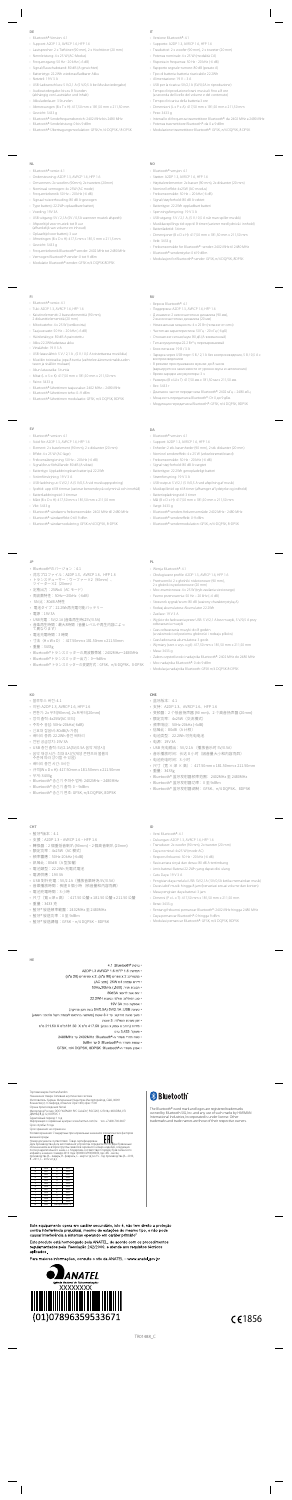## **DE** IT

- Bluetooth®-Version: 4.1
- Support: A2DP 1.3, AVRCP 1.6, HFP 1.6
- Lautsprecher: 2 x Tieftöner (90 mm), 2 x Hochtöner (20 mm)
- Nennleistung: 4 x 25 W (AC-Modus)
- Frequenzgang: 50 Hz 20 kHz (–6 dB)
- Signal/Rauschabstand: 80 dB (A-gewichtet)
- Batterietyp: 22.2Wh wiederaufladbarer Akku
- Netzteil: 19 V 3 A
- USB-Ladeanschluss: 5 V/2,1 A (5 V/0,5 A bei Musikwiedergabe)
- Audiowiedergabe: bis zu 8 Stunden (abhängig von Lautstärke und Inhalt)
- Akkuladedauer: 3 Stunden
- Abmessungen (B x T x H): 417,50 mm x 181,50 mm x 211,50 mm
- Gewicht: 3433 g
- Bluetooth®-Sendefrequenzbereich: 2402 MHz bis 2480 MHz
- Bluetooth®-Sendeleistung: 0 bis 9 dBm
- Bluetooth®-Übertragungsmodulation: GFSK/π /4-DQPSK / 8-DPSK

- Versione Bluetooth®: 4.1
- Supporto: A2DP 1.3, AVRCP 1.6, HFP 1.6
- Trasduttori: 2 x woofer (90 mm), 2 x tweeter (20 mm)
- Potenza nominale: 4 x 25 W (modalità CA) • Risposta in frequenza: 50 Hz - 20 kHz (-6 dB)
- 
- Rapporto segnale-rumore: 80 dB (pesato A) • Tipo di batteria: batteria ricaricabile 22.2Wh
- Alimentazione: 19 V 3 A
- USB per la ricarica: 5V/2,1A (5V/0,5A in riproduzione)
- 
- Tempo di riproduzione brani musicali: fino a 8 ore (a seconda del livello del volume e del contenuto)
- Tempo di ricarica della batteria:3 ore
- Dimensioni (L x P x A): 417,50 mm x 181,50 mm x 211,50 mm
- Peso: 3433 g
- Intervallo di frequenza trasmettitore Bluetooth®: da 2402 MHz a 2480 MHz
- Potenza trasmettitore Bluetooth®: da 0 a 9 dBm
- Modulazione trasmettitore Bluetooth®: GFSK, π/4 DQPSK, 8 DPSK

- Bluetooth®-versie: 4.1
- Ondersteuning: A2DP 1.3, AVRCP 1.6, HFP 1.6
- Omvormers: 2x woofers (90mm), 2x tweeters (20mm)
- Nominaal vermogen: 4x 25W (AC mode)
- Frequentiebereik: 50 Hz 20 kHz (-6 dB)
- Signaal-ruisverhouding: 80 dB A-gewogen
- Type batterij: 22.2Wh oplaadbare batterij
- Voeding: 19V 3A
- USB-uitgang: 5V / 2,1A (5V / 0,5A wanneer muziek afspeelt) • Afspeeltijd voor muziek: tot 8 uur
- (afhankelijk van volume en inhoud) • Oplaadtijd voor batterij: 3 uur
- Afmetingen (B x D x H): 417,5 mm x 181,5 mm x 211,5 mm
- Gewicht: 3433 g
- 
- Frequentiebereik Bluetooth®-zender: 2402 MHz tot 2480 MHz
- Vermogen Bluetooth®-zender: 0 tot 9 dBm
- Modulatie Bluetooth®-zender: GFSK π/4 DQPSK 8DPSK

• Диапазон частот передатчика Bluetooth®: 2402 мГц – 2480 мГц • Мощность передатчика Bluetooth®: От 0 до 9 дБм • Модуляция передатчика Bluetooth®: GFSK,  $\pi$ /4 DQPSK, 8DPSK

- Bluetooth®-versjon: 4.1
- Støtter: A2DP 1.3, AVRCP 1.6, HFP 1.6
- Høyttalerelementer: 2x basser (90 mm), 2x diskanter (20 mm)
- Nominell effekt: 4x25W (AC-modus)
- Frekvensområde: 50 Hz 20 kHz (-6 dB)
- Signal/støyforhold: 80 dB A-vektet
- Batteritype: 22.2Wh oppladbart batteri
- Spenningsforsyning: 19 V 3 A
- USB-utgang: 5 V / 2,1 A, (5 V / 0,5 A når man spiller musikk)
- Musikkavspillings tid: opp til 8 timer (varierer med lydnivå i innhold)
- Batteriladetid: 3 timer

- Dimensjoner (B x D x H): 417,50 mm x 181,50 mm x 211,50 mm
- Vekt: 3433 g
- Frekvensområde for Bluetooth® -sender: 2402 MHz til 2480 MHz

• Bluetooth®-senderstyrke: 0 til 9 dBm

• Modulasjon for Bluetooth®-sender: GFSK, π/4 DQPSK, 8DPSK

- Bluetooth®-versio: 4.1
- Tuki: A2DP 1.3, AVRCP 1.6, HFP 1.6
- Kaiutinelementit: 2 bassoelementtiä (90 mm), 2 diskanttielementtiä (20 mm)
- Mitoitusteho: 4 x 25 W (verkkovirta)
- Taajuusvaste: 50 Hz 20 kHz (–6 dB)
- Häiriöetäisyys: 80 dB A-painotettu
- Akku:22.2Whladattava akku
- Virtalähde: 19 V 3 A
- USB-latauslähtö: 5 V / 2,1 A , (5 V / 0,5 A toistettaessa musiikkia)
- Musiikin toistoaika: jopa 8 tuntia (vaihtelee äänenvoimakkuuden tason ja sisällön mukaan)
- Akun latausaika: 3 tuntia
- Mitat (L  $\times$  S  $\times$  K): 417,50 mm x 181,50 mm x 211,50 mm
- Paino: 3433 g
- Bluetooth®-lähettimen taajuusalue: 2402 MHz 2480 MHz
- Bluetooth®-lähettimen teho: 0–9 dBm
- Bluetooth®-lähettimen modulaatio: GFSK, π/4 DQPSK, 8DPSK

• Версия Bluetooth®: 4.1

• Поддержка: A2DP 1.3, AVRCP 1.6, HFP 1.6 • Д инамики: 2 низкочастотных динамика (90 мм), 2 высокочастотных динамика (20 мм) • Номинальная мощность: 4 x 25 Вт (питание от сети) • Частотная характеристика: 50 Гц - 20 кГц (-6 дБ) • Отношение сигнал/шум: 80 дБ (A-взвешенный) • Тип аккумулятора:22.2 Вт\*ч, перезаряжаемый

• Блок питания: 19 В / 3 А

• Зарядка через USB-порт: 5 В / 2,1 A без воспроизведения, 5 В / 0,5 A с

воспроизведением

• В режиме прослушивания музыки: до 8 часов

(варьируется в зависимости от уровня звука и наполнения)

• Время зарядки аккумулятора: 3 ч

• Размеры (В x Ш x Г): 417,50 мм x 181,50 мм x 211,50 мм

• Вес: 3433 г

- Bluetooth®-version: 4.1
- Stöd för: A2DP 1.3, AVRCP 1.6, HFP 1.6
- Element: 2 x baselement (90 mm), 2 x diskanter (20 mm)
- Effekt: 4 x 25 W (AC-läge)
- Frekvensåtergivning: 50 Hz 20 kHz (-6 dB)
- Signal/brus-förhållande: 80 dB (A-viktat)
- Batterityp: Uppladdningsbart batteri på 22.2Wh
- Strömförsörjning: 19 V 3 A
- USB-laddning ut: 5 V/2,1 A (5 V/0,5 A vid musikuppspelning)
- Speltid: upp till 8 timmar (varierar beroende på volymnivå och innehåll) • Batteriladdningstid: 3 timmar
- Mått (B x D x H): 417,50 mm x 181,50 mm x 211,50 mm
- Vikt: 3433 g
- Bluetooth®-sändarens frekvensområde: 2402 MHz till 2480 MHz
- Bluetooth®-sändareffekt: 0 till 9 dBm
- Bluetooth®-sändarmodulering: GFSK π/4 DQPSK, 8-DPSK

• Bluetooth®-version: 4.1

• Support: A2DP 1.3, AVRCP 1.6, HFP 1.6

• Enheder: 2 stk. basenheder (90 mm), 2 stk. diskanter (20 mm) • Nominel sendereffekt: 4 x 25 W (vekselstrømstilstand)

• Frekvensområde: 50 Hz - 20 kHz (-6 dB) • Signal-støj-forhold: 80 dB A-vægtet • Batteritype: 22.2Wh genopladeligt batteri

• Strømforsyning: 19 V 3 A

• USB-output: 5 V/2,1 (5 V/0,5 A ved afspilning af musik) • Musikspilletid: op til 8 timer (afhænger af lydstyrke og indhold)

• Batteriopladningstid: 3 timer

• Mål (B x D x H): 417,50 mm x 181,50 mm x 211,50 mm

• Vægt: 3433 g

• Bluetooth®-senders frekvensområde: 2402 MHz - 2480 MHz

• Bluetooth®-sendereffekt: 0-9 dBm

• Bluetooth®-sendermodulation: GFSK, π/4-DQPSK, 8-DPSK

- Bluetooth®のバージョン:4.1
- 対応プロファイル:A2DP 1.3、AVRCP 1.6、HFP 1.6
- 
- トランスデューサー:ウーファー×2(90mm)、 ツイーター×2(20mm)
- 定格出力:25Wx4(AC モード)
- 周波数特性:50Hz~20kHz(-6dB)
- SN 比:80dB A特性
- 電池タイプ:22.2Wh再充電可能バッテリー
- 電源:19V 3A
- USB充電:5V/2.1A (音楽再生時は5V/0.5A)
- 音楽再生時間:最大8時間(音重レベルや再生内谷によっ<br>- て異なります)<br>-
- 電池充電時間:3 時間
- 寸法 (H x W x D) : 417.50mm x 181.50mm x 211.50mm
- 重量:3433g
- Bluetooth®トランスミッターの周波数帯域:2402MHz~2480MHz
- Bluetooth®トランスミッター出力:0~9dBm
- Bluetooth® トランスミッターの変調方式:GFSK、π/4-DQPSK、8-DPSK

- Wersja Bluetooth®: 4.1
- Obsługiwane profile: A2DP 1.3, AVRCP 1.6, HFP 1.6
- Przetworniki: 2 x głośniki niskotonowe (90 mm),
- 2 x głośniki wysokotonowe (20 mm)
- Moc znamionowa: 4 x 25 W (tryb zasilania sieciowego)
- Pasmo przenoszenia: 50 Hz 20 kHz (–6 dB)
- Stosunek sygnał/szum: 80 dB (ważony charakterystyką A) • Rodzaj akumulatora: Akumulator 22.2Wh
- Zasilacz: 19 V 3 A
- Wyjście do ładowania przez USB: 5 V/2,1 A bez muzyki, 5 V/0,5 A przy odtwarzaniu muzyki
- Czas odtwarzania muzyki: do 8 godzin
- (w zależności od poziomu głośności i rodzaju plików)
- Czas ładowania akumulatora: 3 godz.
- Wymiary (szer. x wys. x gł.): 417,50 mm x 181,50 mm x 211,50 mm
- Masa: 3433 g
- Zakres częstotliwości nadajnika Bluetooth®: 2402 MHz do 2480 MHz
- Moc nadajnika Bluetooth®: 0 do 9 dBm
- Modulacja nadajnika Bluetooth: GFSK π/4 DQPSK 8-DPSK

- 블루투스 버전: 4.1
- 지원: A2DP 1.3, AVRCP 1.6, HFP 1.6
- 변환기: 2x 우퍼(90mm), 2x 트위터(20mm)
- 정격 출력: 4x25W(AC 모드)
- 주파수 응답: 50Hz-20kHz(-6dB)
- 신호대 잡음비: 80dB(A-가중)
- 배터리 종류: 22.2Wh 충전 배터리
- 전원 공급장치: 19V 3A
- USB 충전 출력: 5V/2.1A(5V/0.5A 음악 재생시)
- 
- 음악 재생 시간: 최대 8시간(재생 콘텐츠와 볼륨의 수준에 따라 상이할 수 있음)
- 배터리 충전 시간: 3시간
- 규격(W x D x H): 417.50mm x 181.50mm x 211.50mm
- 무게: 3433g
- Bluetooth® 송신기 주파수 범위: 2402MHz ~ 2480MHz
- Bluetooth® 송신기 출력: 0 ~ 9dBm
- Bluetooth® 송신기 변조: GFSK, π/4 DQPSK, 8DPSK

## **CHT** ID

- 蓝牙版本:4.1
- 支持: A2DP 1.3、AVRCP 1.6、HFP 1.6
- 变频器:2 个低音扬声器 (90 mm)、2 个高音扬声器 (20mm)
- 额定功率:4x25W(交流模式)
- 频率响应:50Hz-20kHz (-6dB)
- 信噪比:80dB(A 计权)
- 电池类型:22.2Wh 可充电电池
- 电源:19V 3A
- USB 充电输出:5V/2.1A (播放音乐时 5V/0.5A)
- 音乐播放时间: 长达 8 小时 (因音量大小和内容而异)
- 电池充电时间:3 小时
- 尺寸(宽 × 深 × 高):417.50mm x 181.50mm x 211.50mm
- 重量:3433g
- Bluetooth® 蓝牙发射器频率范围:2402MHz 至 2480MHz
- Bluetooth® 蓝牙发射器功率:0 至 9dBm
- Bluetooth® 蓝牙发射器调制:GFSK、π/4 DQPSK、8DPSK

- 藍牙®版本:4.1
- 支援: A2DP 1.3、AVRCP 1.6、HFP 1.6
- 轉換器:2 個重低音喇叭 (90mm)、2 個高音喇叭 (20mm)
- 額定功率:4x25W(AC 模式)
- 頻率響應:50Hz-20kHz (-6dB)
- 訊噪比:80dB(A 型加權)
- 電池類型:22.2Wh 充電式電池
- 電源供應:19V 3A
- USB 對外充電: 5V/2.1A (播放音樂時為 5V/0.5A)
- 音樂播放時間:長達 8 個小時(依音量和內容而異)
- 電池充電時間:3 小時
- 尺寸 (寬 x 深 x 高): 417.50 公釐 x 181.50 公釐 x 211.50 公釐
- 重量:3433 克

- 藍牙® 發送頻率範圍:2402MHz 至 2480MHz
- 藍牙® 發送功率:0 至 9dBm
- 藍牙® 發送調幅:GFSK、π/4 DQPSK、8DPSK
- Versi Bluetooth®: 4.1
- Dukungan: A2DP 1.3, AVRCP 1.6, HFP 1.6
- Transduser: 2x woofer (90 mm), 2x tweeter (20 mm)
- Daya nominal: 4x25 W (mode AC)
- Respons frekuensi: 50 Hz 20 kHz (-6 dB)
- Rasio antara sinyal dan derau: 80 dB A-tertimbang
- Jenis baterai: Baterai 22.2Wh yang dapat diisi ulang

• Catu Daya: 19 V 3 A

- Pengisian daya melalui USB: 5V/2,1A ( 5V/0,5A ketika memainkan musik)
- Durasi aktif musik: hingga 8 jam (bervariasi sesuai volume dan konten)

• Masa pengisian daya baterai: 3 jam

• Dimensi (P x L x T): 417,50 mm x 181,50 mm x 211,50 mm

• Berat: 3433 g

4.1 :Bluetooth® ארסת

• תמיכה: A2DP1.3 AVRCP 1.6 HFP 1.6 • מתמרים: 2 x וופרים (90 מ"מ), 2 x טוויטרים (20 מ"מ)

• טעינת USB: לV/0.5A) 5V/2.1A בעת ניגון מוזיקה

• עצמת משדר ה-®Bluetooth: 0 עד 9dBm

• טווח תדרי משדר ה-®Bluetooth: 2480MHz עד 2480MHz

• אפנוו משדר ה-"GFSK, T/4 DQPSK, 8DPSK :Bluetooth

• משך נגינת מוזיקה: עד ל-8 שעות (משתנה בהתאם לעצמת הקול ולתוכני השמע)

• מידות (רוחב x עומק x גובה): 417.50 מ"מ A 181.50 מ"מ 211.50 מ"מ

י דירוג עצמה: 25W x 4 (מצב AC) \* תגובת תדר: (6dB-20kHz) + • יחס אות לרעש: 80dBA • סוג הסוללה: סוללה נטענת 22.2WH • אספקת כוח: 3A 19V

• זמן טעינת הסוללה: 3 שעות

• משקל: 3,433 גרם

• Rentang frekuensi pemancar Bluetooth®: 2402 MHz hingga 2480 MHz

• Daya pemancar Bluetooth®: 0 hingga 9 dBm • Modulasi pemancar Bluetooth®: GFSK, π/4 DQPSK, 8DPSK

### **NL NO**

## **FI RU**

## **SV DA**

# **JP PL**

### **KO CHS**

TR01488\_C





| А | 2010 | N                   | 2023 |
|---|------|---------------------|------|
| R | 2011 | ō                   | 2024 |
|   | 2012 | P                   | 2025 |
| n | 2013 | ö                   | 2026 |
| E | 2014 | R                   | 2027 |
| F | 2015 | s                   | 2028 |
| G | 2016 | Ŧ                   | 2029 |
| н | 2017 | Ü                   | 2030 |
|   | 2018 | v                   | 2031 |
|   | 2019 | x                   | 2032 |
| ĸ | 2020 | Y                   | 2033 |
|   | 2021 | 7                   | 2034 |
| M | 2022 | повторно начать с А |      |

Este equipamento opera em caráter secundário, isto é, não tem direito a proteção contra interferência prejudicial, mesmo de estações do mesmo tipo, e não pode causar interferência a sistemas operando em caráter primário

Este produto está homologado pela ANATEL, de acordo com os procedimentos regulamentados pela Resolução 242/2000, e atende aos requisitos técnicos aplicados

Para maiores informações, consulte o site da ANATEL - www.anatel.gov.br

**HE**

The Bluetooth® word mark and logos are registered trademarks owned by Bluetooth SIG, Inc. and any use of such marks by HARMAN International Industries, Incorporated is under license. Other trademarks and trade names are those of their respective owners.

# CE1856

Торговая марка: harman/kardon Назначение товара: Активная акустическая система Изготовитель: Харман Интернешнл Индастриз Инкорпорейтед, США, 06901 Коннектикут, г.Стэмфорд, Атлантик Стрит 400, офис 1500 Страна происхождения: Китай Импортер в Россию: OOO "ХАРМАН РУС СиАйЭс", РОССИЯ, 127018, г.МОСКВА, УЛ. ДВИНЦЕВ, Д.12, КОРПУС 1 Гарантийный период: 1 год Информация о сервисных центрах: www.harman.com/ru тел. +7-800-700-0467

Срок службы: 3 года

Срок хранения: не ограничен Условия хранения: Cтандартные при нормальных значениях климатических факторов внешней среды

Номер документа соответствия: Товар сертифицирован<br>Дата производства: Дата изготовления устройства определяется по двум буквенным<br>обозначениям из второй группы символов серийного номера изделия, следующих<br>после разделител